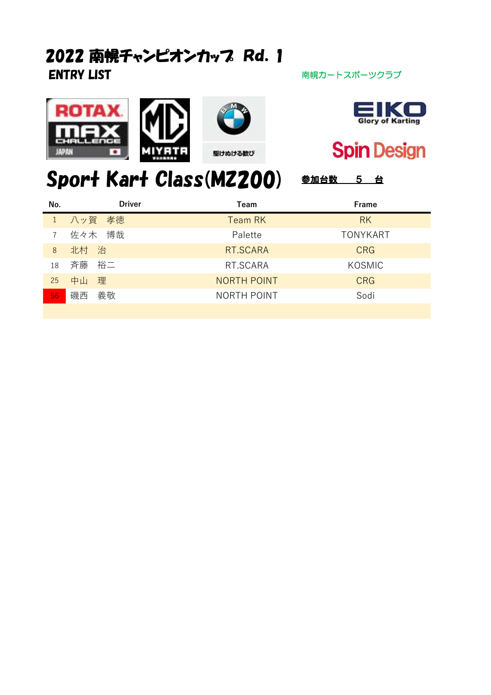## ENTRY LIST **ENTRY LIST** アイディスク インタン おんない おおし 南幌カートスポーツクラブ 2022 南幌チャンピオンカップ Rd. 1







**Spin Design** 

# Sport Kart Class(MZ200) 参加台数 5 台

| No. | <b>Driver</b> | Team               | Frame           |
|-----|---------------|--------------------|-----------------|
|     | 1 八ッ賀 孝徳      | <b>Team RK</b>     | <b>RK</b>       |
|     | 佐々木 博哉        | Palette            | <b>TONYKART</b> |
| 8   | 北村 治          | RT.SCARA           | <b>CRG</b>      |
| 18  | 斉藤の裕二         | RT.SCARA           | KOSMIC          |
| 25  | 中山<br>理       | <b>NORTH POINT</b> | <b>CRG</b>      |
| 56  | 磯西 義敬         | <b>NORTH POINT</b> | Sodi            |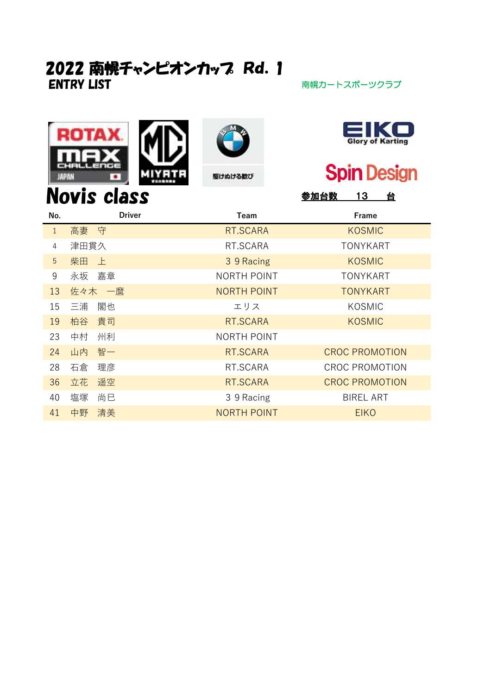#### ENTRY LIST **ENTRY LIST** アイディスク アイディスプレートスポーツクラブ 2022 南幌チャンピオンカップ Rd. 1











## **Spin Design**

| <b>Novis class</b><br><u> 13</u><br>台<br><u> 参加</u> 台数 |               |                    |                       |  |
|--------------------------------------------------------|---------------|--------------------|-----------------------|--|
| No.                                                    | <b>Driver</b> | Team               | Frame                 |  |
| $\mathbf{1}$                                           | 高妻 守          | RT.SCARA           | <b>KOSMIC</b>         |  |
| 4                                                      | 津田貫久          | RT.SCARA           | <b>TONYKART</b>       |  |
| $5\overline{)}$                                        | 柴田<br>上       | 3 9 Racing         | <b>KOSMIC</b>         |  |
| 9                                                      | 嘉章<br>永坂      | <b>NORTH POINT</b> | TONYKART              |  |
| 13                                                     | 佐々木 一麿        | <b>NORTH POINT</b> | <b>TONYKART</b>       |  |
| 15                                                     | 閣也<br>三浦      | エリス                | <b>KOSMIC</b>         |  |
| 19                                                     | 貴司<br>柏谷      | RT.SCARA           | <b>KOSMIC</b>         |  |
| 23                                                     | 中村<br>州利      | <b>NORTH POINT</b> |                       |  |
| 24                                                     | 智一<br>山内      | RT.SCARA           | <b>CROC PROMOTION</b> |  |
| 28                                                     | 石倉<br>理彦      | RT.SCARA           | <b>CROC PROMOTION</b> |  |
| 36                                                     | 遥空<br>立花      | RT.SCARA           | <b>CROC PROMOTION</b> |  |
| 40                                                     | 塩塚<br>尚巳      | 3 9 Racing         | <b>BIREL ART</b>      |  |
| 41                                                     | 清美<br>中野      | <b>NORTH POINT</b> | <b>EIKO</b>           |  |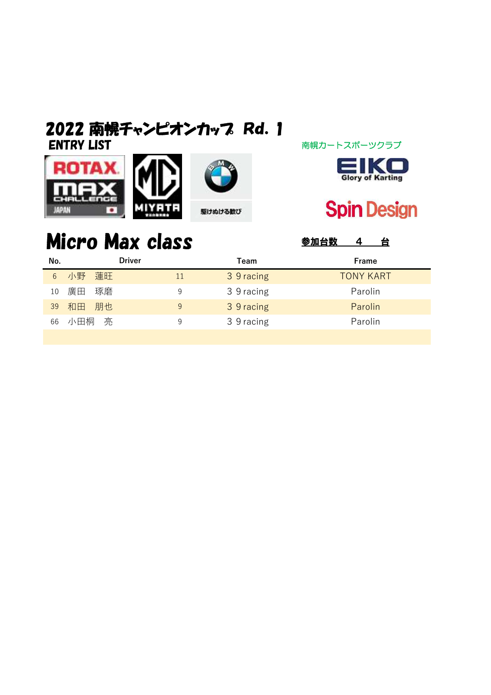### ENTRY LIST マインスポーツクラブ 南幌カートスポーツクラブ 2022 南幌チャンピオンカッフ Rd. 1





## **Spin Design**

#### Micro Max class **SADA** SADA A A Driver

| No. | Driver   |    | Team       | Frame            |
|-----|----------|----|------------|------------------|
| 6   | 小野 蓮旺    | 11 | 3 9 racing | <b>TONY KART</b> |
| 10  | 廣田<br>琢磨 | 9  | 3 9 racing | Parolin          |
| 39  | 和田 朋也    | 9  | 3 9 racing | Parolin          |
| 66  | 小田桐<br>亮 | 9  | 3 9 racing | Parolin          |
|     |          |    |            |                  |